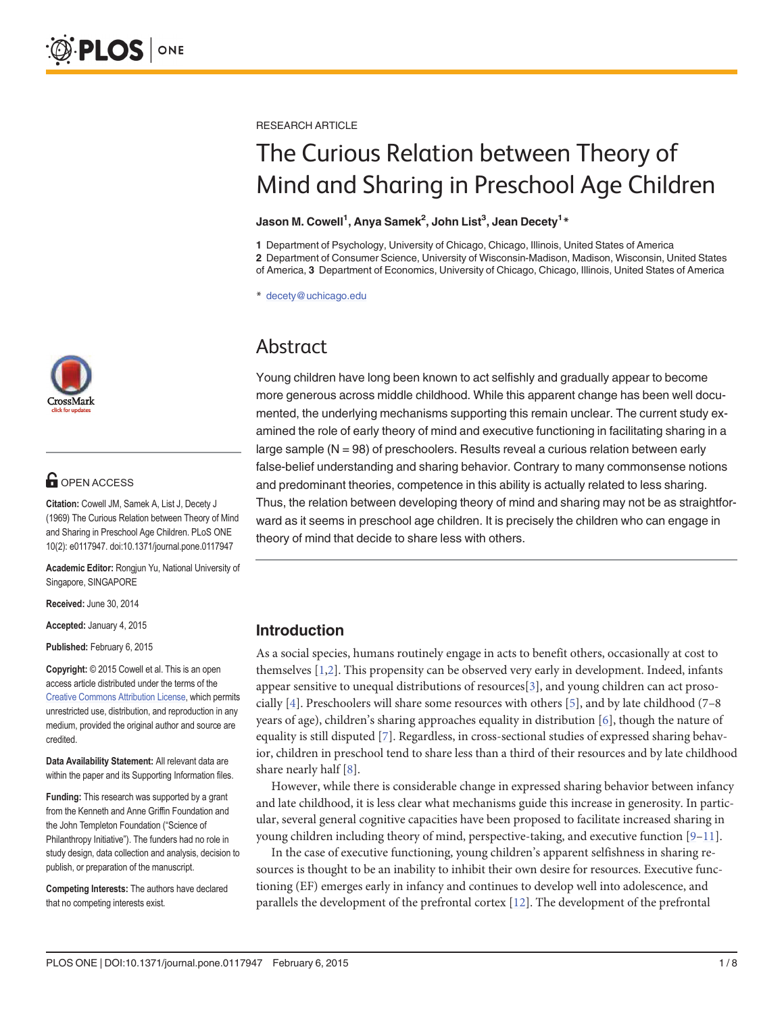

### **OPEN ACCESS**

Citation: Cowell JM, Samek A, List J, Decety J (1969) The Curious Relation between Theory of Mind and Sharing in Preschool Age Children. PLoS ONE 10(2): e0117947. doi:10.1371/journal.pone.0117947

Academic Editor: Rongjun Yu, National University of Singapore, SINGAPORE

Received: June 30, 2014

Accepted: January 4, 2015

Published: February 6, 2015

Copyright: © 2015 Cowell et al. This is an open access article distributed under the terms of the [Creative Commons Attribution License,](http://creativecommons.org/licenses/by/4.0/) which permits unrestricted use, distribution, and reproduction in any medium, provided the original author and source are credited.

Data Availability Statement: All relevant data are within the paper and its Supporting Information files.

Funding: This research was supported by a grant from the Kenneth and Anne Griffin Foundation and the John Templeton Foundation ("Science of Philanthropy Initiative"). The funders had no role in study design, data collection and analysis, decision to publish, or preparation of the manuscript.

Competing Interests: The authors have declared that no competing interests exist.

<span id="page-0-0"></span>RESEARCH ARTICLE

# The Curious Relation between Theory of Mind and Sharing in Preschool Age Children

#### Jason M. Cowell<sup>1</sup>, Anya Samek<sup>2</sup>, John List<sup>3</sup>, Jean Decety<sup>1</sup> \*

1 Department of Psychology, University of Chicago, Chicago, Illinois, United States of America

2 Department of Consumer Science, University of Wisconsin-Madison, Madison, Wisconsin, United States

of America, 3 Department of Economics, University of Chicago, Chicago, Illinois, United States of America

\* decety@uchicago.edu

### Abstract

Young children have long been known to act selfishly and gradually appear to become more generous across middle childhood. While this apparent change has been well documented, the underlying mechanisms supporting this remain unclear. The current study examined the role of early theory of mind and executive functioning in facilitating sharing in a large sample  $(N = 98)$  of preschoolers. Results reveal a curious relation between early false-belief understanding and sharing behavior. Contrary to many commonsense notions and predominant theories, competence in this ability is actually related to less sharing. Thus, the relation between developing theory of mind and sharing may not be as straightforward as it seems in preschool age children. It is precisely the children who can engage in theory of mind that decide to share less with others.

#### Introduction

As a social species, humans routinely engage in acts to benefit others, occasionally at cost to themselves [\[1,2\]](#page-6-0). This propensity can be observed very early in development. Indeed, infants appear sensitive to unequal distributions of resources[[3](#page-6-0)], and young children can act prosocially  $[4]$  $[4]$ . Preschoolers will share some resources with others  $[5]$  $[5]$ , and by late childhood (7–8) years of age), children's sharing approaches equality in distribution [[6](#page-6-0)], though the nature of equality is still disputed [[7](#page-6-0)]. Regardless, in cross-sectional studies of expressed sharing behavior, children in preschool tend to share less than a third of their resources and by late childhood share nearly half [\[8\]](#page-6-0).

However, while there is considerable change in expressed sharing behavior between infancy and late childhood, it is less clear what mechanisms guide this increase in generosity. In particular, several general cognitive capacities have been proposed to facilitate increased sharing in young children including theory of mind, perspective-taking, and executive function  $[9-11]$  $[9-11]$  $[9-11]$ .

In the case of executive functioning, young children's apparent selfishness in sharing resources is thought to be an inability to inhibit their own desire for resources. Executive functioning (EF) emerges early in infancy and continues to develop well into adolescence, and parallels the development of the prefrontal cortex  $[12]$  $[12]$ . The development of the prefrontal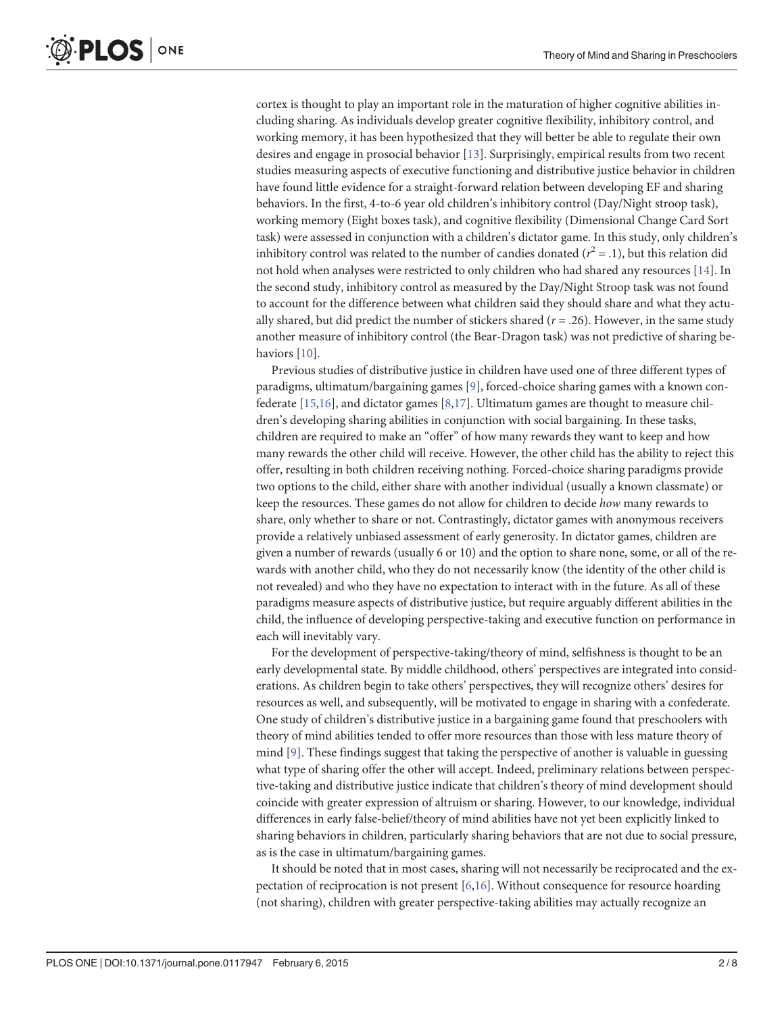<span id="page-1-0"></span>cortex is thought to play an important role in the maturation of higher cognitive abilities including sharing. As individuals develop greater cognitive flexibility, inhibitory control, and working memory, it has been hypothesized that they will better be able to regulate their own desires and engage in prosocial behavior [\[13\]](#page-7-0). Surprisingly, empirical results from two recent studies measuring aspects of executive functioning and distributive justice behavior in children have found little evidence for a straight-forward relation between developing EF and sharing behaviors. In the first, 4-to-6 year old children's inhibitory control (Day/Night stroop task), working memory (Eight boxes task), and cognitive flexibility (Dimensional Change Card Sort task) were assessed in conjunction with a children's dictator game. In this study, only children's inhibitory control was related to the number of candies donated ( $r^2 = .1$ ), but this relation did not hold when analyses were restricted to only children who had shared any resources [[14\]](#page-7-0). In the second study, inhibitory control as measured by the Day/Night Stroop task was not found to account for the difference between what children said they should share and what they actually shared, but did predict the number of stickers shared ( $r = .26$ ). However, in the same study another measure of inhibitory control (the Bear-Dragon task) was not predictive of sharing be-haviors [[10](#page-7-0)].

Previous studies of distributive justice in children have used one of three different types of paradigms, ultimatum/bargaining games  $[9]$ , forced-choice sharing games with a known confederate  $[15,16]$ , and dictator games  $[8,17]$  $[8,17]$  $[8,17]$  $[8,17]$  $[8,17]$ . Ultimatum games are thought to measure children's developing sharing abilities in conjunction with social bargaining. In these tasks, children are required to make an "offer" of how many rewards they want to keep and how many rewards the other child will receive. However, the other child has the ability to reject this offer, resulting in both children receiving nothing. Forced-choice sharing paradigms provide two options to the child, either share with another individual (usually a known classmate) or keep the resources. These games do not allow for children to decide how many rewards to share, only whether to share or not. Contrastingly, dictator games with anonymous receivers provide a relatively unbiased assessment of early generosity. In dictator games, children are given a number of rewards (usually 6 or 10) and the option to share none, some, or all of the rewards with another child, who they do not necessarily know (the identity of the other child is not revealed) and who they have no expectation to interact with in the future. As all of these paradigms measure aspects of distributive justice, but require arguably different abilities in the child, the influence of developing perspective-taking and executive function on performance in each will inevitably vary.

For the development of perspective-taking/theory of mind, selfishness is thought to be an early developmental state. By middle childhood, others' perspectives are integrated into considerations. As children begin to take others' perspectives, they will recognize others' desires for resources as well, and subsequently, will be motivated to engage in sharing with a confederate. One study of children's distributive justice in a bargaining game found that preschoolers with theory of mind abilities tended to offer more resources than those with less mature theory of mind  $[9]$ . These findings suggest that taking the perspective of another is valuable in guessing what type of sharing offer the other will accept. Indeed, preliminary relations between perspective-taking and distributive justice indicate that children's theory of mind development should coincide with greater expression of altruism or sharing. However, to our knowledge, individual differences in early false-belief/theory of mind abilities have not yet been explicitly linked to sharing behaviors in children, particularly sharing behaviors that are not due to social pressure, as is the case in ultimatum/bargaining games.

It should be noted that in most cases, sharing will not necessarily be reciprocated and the expectation of reciprocation is not present  $[6,16]$  $[6,16]$  $[6,16]$  $[6,16]$  $[6,16]$ . Without consequence for resource hoarding (not sharing), children with greater perspective-taking abilities may actually recognize an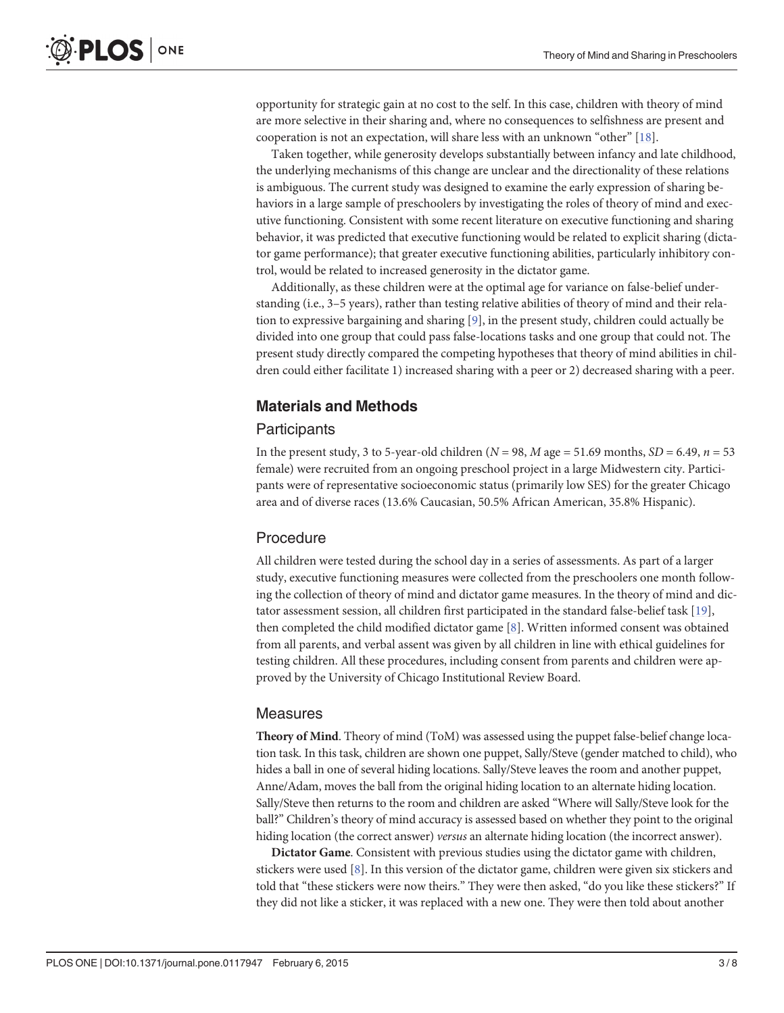<span id="page-2-0"></span>opportunity for strategic gain at no cost to the self. In this case, children with theory of mind are more selective in their sharing and, where no consequences to selfishness are present and cooperation is not an expectation, will share less with an unknown "other"  $[18]$ .

Taken together, while generosity develops substantially between infancy and late childhood, the underlying mechanisms of this change are unclear and the directionality of these relations is ambiguous. The current study was designed to examine the early expression of sharing behaviors in a large sample of preschoolers by investigating the roles of theory of mind and executive functioning. Consistent with some recent literature on executive functioning and sharing behavior, it was predicted that executive functioning would be related to explicit sharing (dictator game performance); that greater executive functioning abilities, particularly inhibitory control, would be related to increased generosity in the dictator game.

Additionally, as these children were at the optimal age for variance on false-belief understanding (i.e., 3–5 years), rather than testing relative abilities of theory of mind and their relation to expressive bargaining and sharing [[9](#page-6-0)], in the present study, children could actually be divided into one group that could pass false-locations tasks and one group that could not. The present study directly compared the competing hypotheses that theory of mind abilities in children could either facilitate 1) increased sharing with a peer or 2) decreased sharing with a peer.

#### Materials and Methods

#### **Participants**

In the present study, 3 to 5-year-old children ( $N = 98$ ,  $M$  age = 51.69 months,  $SD = 6.49$ ,  $n = 53$ female) were recruited from an ongoing preschool project in a large Midwestern city. Participants were of representative socioeconomic status (primarily low SES) for the greater Chicago area and of diverse races (13.6% Caucasian, 50.5% African American, 35.8% Hispanic).

#### **Procedure**

All children were tested during the school day in a series of assessments. As part of a larger study, executive functioning measures were collected from the preschoolers one month following the collection of theory of mind and dictator game measures. In the theory of mind and dictator assessment session, all children first participated in the standard false-belief task [\[19\]](#page-7-0), then completed the child modified dictator game [[8\]](#page-6-0). Written informed consent was obtained from all parents, and verbal assent was given by all children in line with ethical guidelines for testing children. All these procedures, including consent from parents and children were approved by the University of Chicago Institutional Review Board.

#### **Measures**

Theory of Mind. Theory of mind (ToM) was assessed using the puppet false-belief change location task. In this task, children are shown one puppet, Sally/Steve (gender matched to child), who hides a ball in one of several hiding locations. Sally/Steve leaves the room and another puppet, Anne/Adam, moves the ball from the original hiding location to an alternate hiding location. Sally/Steve then returns to the room and children are asked "Where will Sally/Steve look for the ball?" Children's theory of mind accuracy is assessed based on whether they point to the original hiding location (the correct answer) versus an alternate hiding location (the incorrect answer).

Dictator Game. Consistent with previous studies using the dictator game with children, stickers were used [[8\]](#page-6-0). In this version of the dictator game, children were given six stickers and told that "these stickers were now theirs." They were then asked, "do you like these stickers?" If they did not like a sticker, it was replaced with a new one. They were then told about another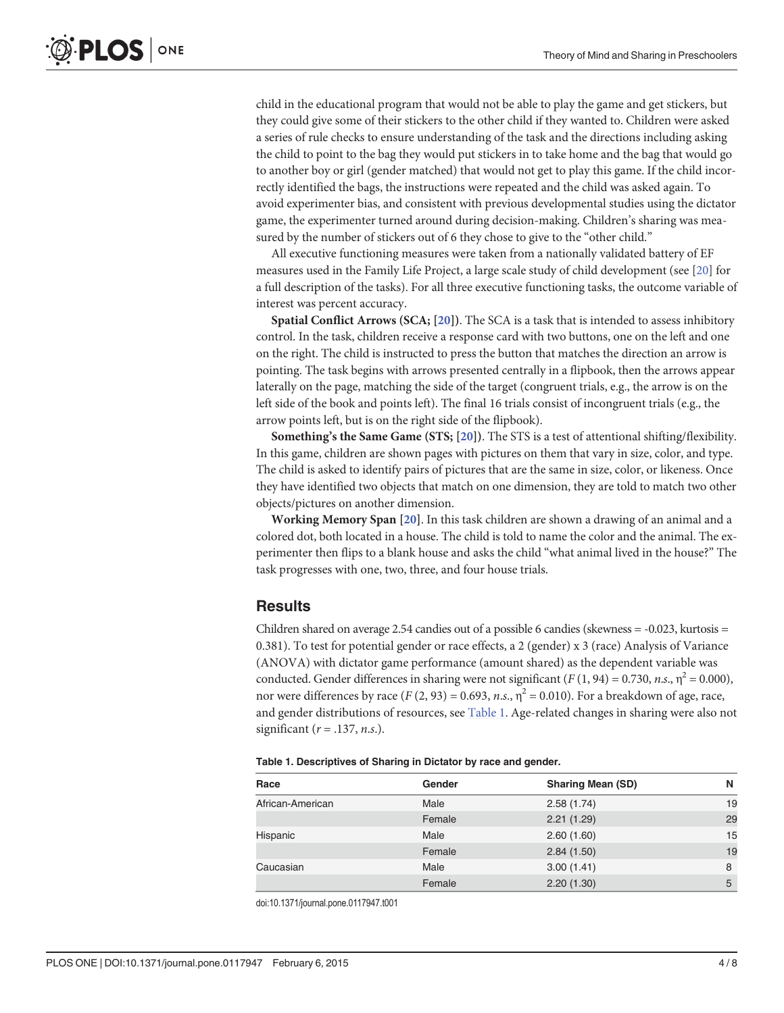<span id="page-3-0"></span>child in the educational program that would not be able to play the game and get stickers, but they could give some of their stickers to the other child if they wanted to. Children were asked a series of rule checks to ensure understanding of the task and the directions including asking the child to point to the bag they would put stickers in to take home and the bag that would go to another boy or girl (gender matched) that would not get to play this game. If the child incorrectly identified the bags, the instructions were repeated and the child was asked again. To avoid experimenter bias, and consistent with previous developmental studies using the dictator game, the experimenter turned around during decision-making. Children's sharing was measured by the number of stickers out of 6 they chose to give to the "other child."

All executive functioning measures were taken from a nationally validated battery of EF measures used in the Family Life Project, a large scale study of child development (see [\[20\]](#page-7-0) for a full description of the tasks). For all three executive functioning tasks, the outcome variable of interest was percent accuracy.

Spatial Conflict Arrows (SCA; [[20\]](#page-7-0)). The SCA is a task that is intended to assess inhibitory control. In the task, children receive a response card with two buttons, one on the left and one on the right. The child is instructed to press the button that matches the direction an arrow is pointing. The task begins with arrows presented centrally in a flipbook, then the arrows appear laterally on the page, matching the side of the target (congruent trials, e.g., the arrow is on the left side of the book and points left). The final 16 trials consist of incongruent trials (e.g., the arrow points left, but is on the right side of the flipbook).

Something's the Same Game (STS; [[20\]](#page-7-0)). The STS is a test of attentional shifting/flexibility. In this game, children are shown pages with pictures on them that vary in size, color, and type. The child is asked to identify pairs of pictures that are the same in size, color, or likeness. Once they have identified two objects that match on one dimension, they are told to match two other objects/pictures on another dimension.

Working Memory Span [\[20](#page-7-0)]. In this task children are shown a drawing of an animal and a colored dot, both located in a house. The child is told to name the color and the animal. The experimenter then flips to a blank house and asks the child "what animal lived in the house?" The task progresses with one, two, three, and four house trials.

#### **Results**

Children shared on average 2.54 candies out of a possible 6 candies (skewness = -0.023, kurtosis = 0.381). To test for potential gender or race effects, a 2 (gender) x 3 (race) Analysis of Variance (ANOVA) with dictator game performance (amount shared) as the dependent variable was conducted. Gender differences in sharing were not significant ( $F(1, 94) = 0.730$ , n.s.,  $\eta^2 = 0.000$ ), nor were differences by race  $(F(2, 93) = 0.693, n.s., \eta^2 = 0.010)$ . For a breakdown of age, race, and gender distributions of resources, see Table 1. Age-related changes in sharing were also not significant ( $r = .137, n.s.$ ).

|  | Table 1. Descriptives of Sharing in Dictator by race and gender. |  |  |  |  |  |  |  |  |
|--|------------------------------------------------------------------|--|--|--|--|--|--|--|--|
|--|------------------------------------------------------------------|--|--|--|--|--|--|--|--|

| Race             | Gender | <b>Sharing Mean (SD)</b> | N  |
|------------------|--------|--------------------------|----|
| African-American | Male   | 2.58(1.74)               | 19 |
|                  | Female | 2.21(1.29)               | 29 |
| Hispanic         | Male   | 2.60(1.60)               | 15 |
|                  | Female | 2.84(1.50)               | 19 |
| Caucasian        | Male   | 3.00(1.41)               | 8  |
|                  | Female | 2.20(1.30)               | 5  |

doi:10.1371/journal.pone.0117947.t001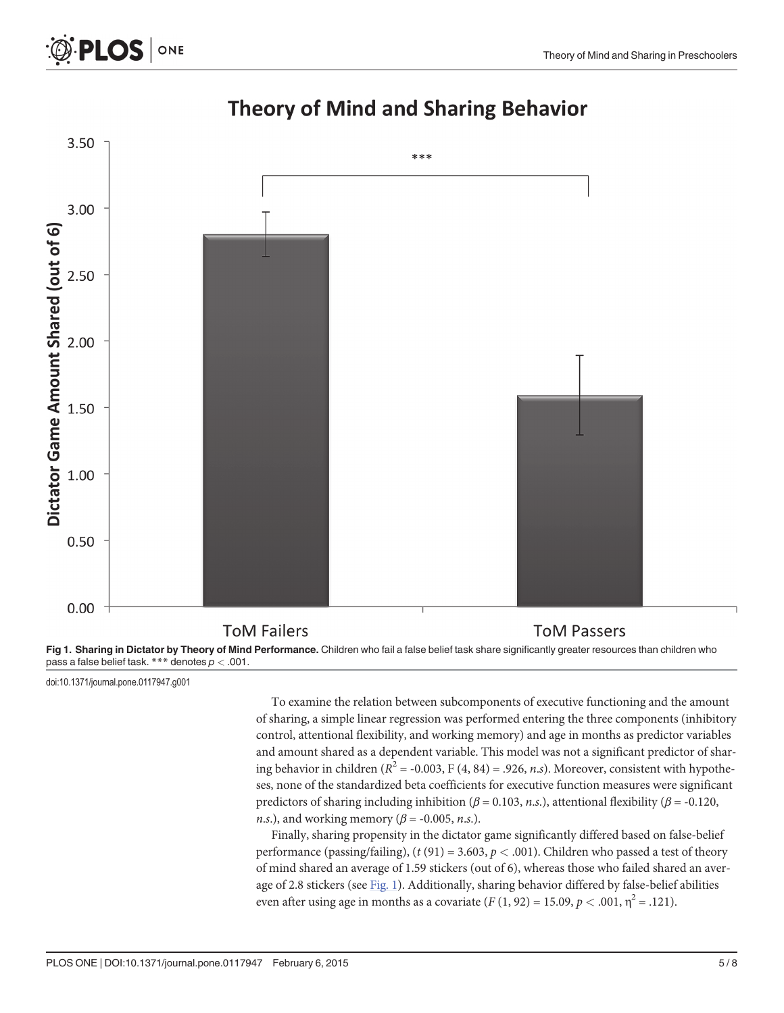



## **Theory of Mind and Sharing Behavior**

Fig 1. Sharing in Dictator by Theory of Mind Performance. Children who fail a false belief task share significantly greater resources than children who pass a false belief task. \*\*\* denotes  $p < .001$ .

doi:10.1371/journal.pone.0117947.g001

To examine the relation between subcomponents of executive functioning and the amount of sharing, a simple linear regression was performed entering the three components (inhibitory control, attentional flexibility, and working memory) and age in months as predictor variables and amount shared as a dependent variable. This model was not a significant predictor of sharing behavior in children ( $R^2$  = -0.003, F (4, 84) = .926, *n.s*). Moreover, consistent with hypotheses, none of the standardized beta coefficients for executive function measures were significant predictors of sharing including inhibition ( $\beta$  = 0.103, *n.s.*), attentional flexibility ( $\beta$  = -0.120, *n.s.*), and working memory ( $\beta$  = -0.005, *n.s.*).

Finally, sharing propensity in the dictator game significantly differed based on false-belief performance (passing/failing),  $(t(91) = 3.603, p < .001)$ . Children who passed a test of theory of mind shared an average of 1.59 stickers (out of 6), whereas those who failed shared an average of 2.8 stickers (see Fig. 1). Additionally, sharing behavior differed by false-belief abilities even after using age in months as a covariate  $(F(1, 92) = 15.09, p < .001, \eta^2 = .121)$ .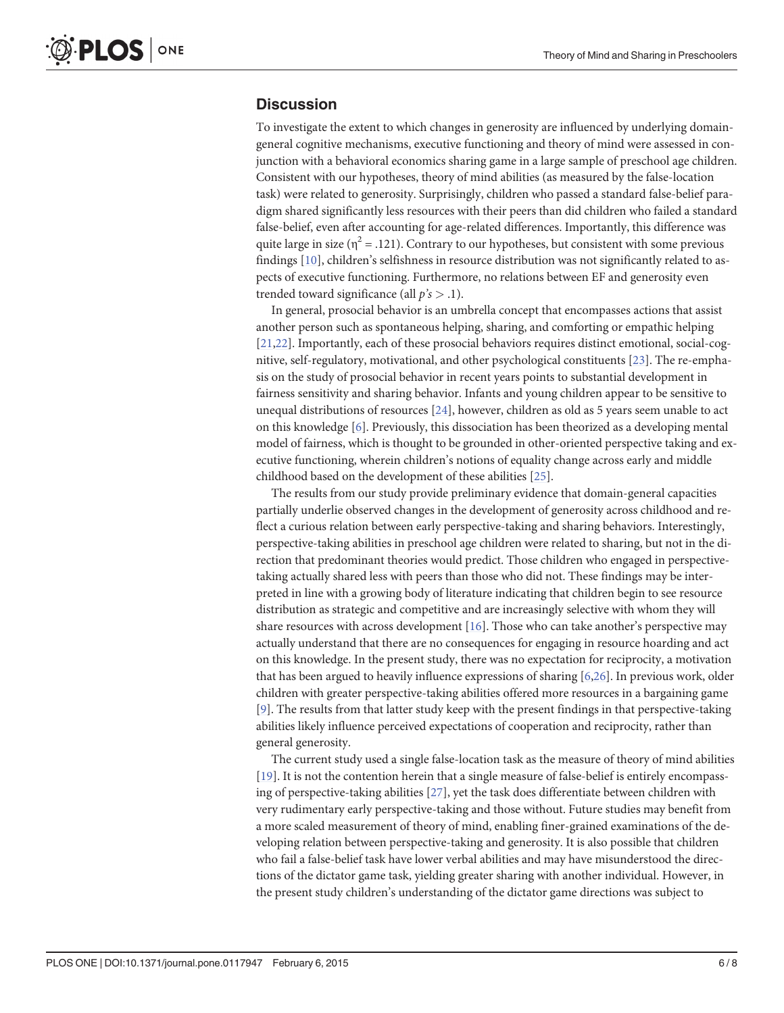#### <span id="page-5-0"></span>**Discussion**

To investigate the extent to which changes in generosity are influenced by underlying domaingeneral cognitive mechanisms, executive functioning and theory of mind were assessed in conjunction with a behavioral economics sharing game in a large sample of preschool age children. Consistent with our hypotheses, theory of mind abilities (as measured by the false-location task) were related to generosity. Surprisingly, children who passed a standard false-belief paradigm shared significantly less resources with their peers than did children who failed a standard false-belief, even after accounting for age-related differences. Importantly, this difference was quite large in size ( $\eta^2$  = .121). Contrary to our hypotheses, but consistent with some previous findings [\[10\]](#page-7-0), children's selfishness in resource distribution was not significantly related to aspects of executive functioning. Furthermore, no relations between EF and generosity even trended toward significance (all  $p's > .1$ ).

In general, prosocial behavior is an umbrella concept that encompasses actions that assist another person such as spontaneous helping, sharing, and comforting or empathic helping [\[21,22\]](#page-7-0). Importantly, each of these prosocial behaviors requires distinct emotional, social-cognitive, self-regulatory, motivational, and other psychological constituents [\[23\]](#page-7-0). The re-emphasis on the study of prosocial behavior in recent years points to substantial development in fairness sensitivity and sharing behavior. Infants and young children appear to be sensitive to unequal distributions of resources [\[24\]](#page-7-0), however, children as old as 5 years seem unable to act on this knowledge [[6\]](#page-6-0). Previously, this dissociation has been theorized as a developing mental model of fairness, which is thought to be grounded in other-oriented perspective taking and executive functioning, wherein children's notions of equality change across early and middle childhood based on the development of these abilities [\[25\]](#page-7-0).

The results from our study provide preliminary evidence that domain-general capacities partially underlie observed changes in the development of generosity across childhood and reflect a curious relation between early perspective-taking and sharing behaviors. Interestingly, perspective-taking abilities in preschool age children were related to sharing, but not in the direction that predominant theories would predict. Those children who engaged in perspectivetaking actually shared less with peers than those who did not. These findings may be interpreted in line with a growing body of literature indicating that children begin to see resource distribution as strategic and competitive and are increasingly selective with whom they will share resources with across development  $[16]$  $[16]$  $[16]$ . Those who can take another's perspective may actually understand that there are no consequences for engaging in resource hoarding and act on this knowledge. In the present study, there was no expectation for reciprocity, a motivation that has been argued to heavily influence expressions of sharing [[6](#page-6-0),[26](#page-7-0)]. In previous work, older children with greater perspective-taking abilities offered more resources in a bargaining game [\[9](#page-6-0)]. The results from that latter study keep with the present findings in that perspective-taking abilities likely influence perceived expectations of cooperation and reciprocity, rather than general generosity.

The current study used a single false-location task as the measure of theory of mind abilities [\[19](#page-7-0)]. It is not the contention herein that a single measure of false-belief is entirely encompassing of perspective-taking abilities [\[27\]](#page-7-0), yet the task does differentiate between children with very rudimentary early perspective-taking and those without. Future studies may benefit from a more scaled measurement of theory of mind, enabling finer-grained examinations of the developing relation between perspective-taking and generosity. It is also possible that children who fail a false-belief task have lower verbal abilities and may have misunderstood the directions of the dictator game task, yielding greater sharing with another individual. However, in the present study children's understanding of the dictator game directions was subject to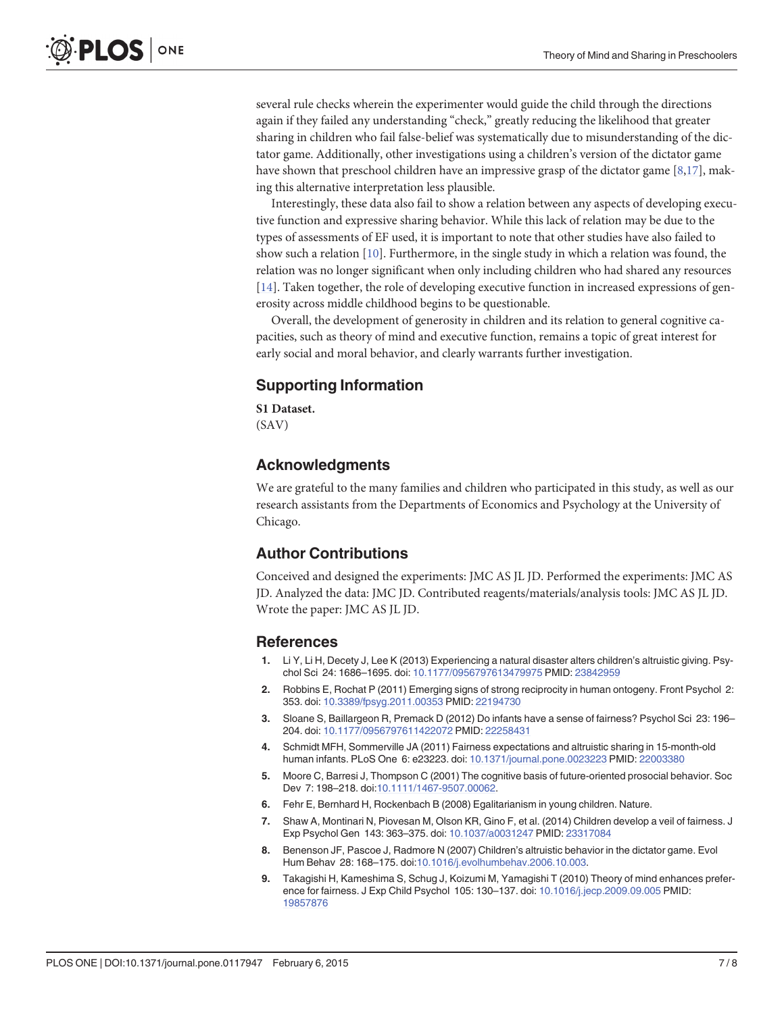<span id="page-6-0"></span>several rule checks wherein the experimenter would guide the child through the directions again if they failed any understanding "check," greatly reducing the likelihood that greater sharing in children who fail false-belief was systematically due to misunderstanding of the dictator game. Additionally, other investigations using a children's version of the dictator game have shown that preschool children have an impressive grasp of the dictator game [8[,17\]](#page-7-0), making this alternative interpretation less plausible.

Interestingly, these data also fail to show a relation between any aspects of developing executive function and expressive sharing behavior. While this lack of relation may be due to the types of assessments of EF used, it is important to note that other studies have also failed to show such a relation [\[10](#page-7-0)]. Furthermore, in the single study in which a relation was found, the relation was no longer significant when only including children who had shared any resources [\[14](#page-7-0)]. Taken together, the role of developing executive function in increased expressions of generosity across middle childhood begins to be questionable.

Overall, the development of generosity in children and its relation to general cognitive capacities, such as theory of mind and executive function, remains a topic of great interest for early social and moral behavior, and clearly warrants further investigation.

#### Supporting Information

[S1 Dataset.](http://www.plosone.org/article/fetchSingleRepresentation.action?uri=info:doi/10.1371/journal.pone.0117947.s001) (SAV)

#### Acknowledgments

We are grateful to the many families and children who participated in this study, as well as our research assistants from the Departments of Economics and Psychology at the University of Chicago.

#### Author Contributions

Conceived and designed the experiments: JMC AS JL JD. Performed the experiments: JMC AS JD. Analyzed the data: JMC JD. Contributed reagents/materials/analysis tools: JMC AS JL JD. Wrote the paper: JMC AS JL JD.

#### References

- [1.](#page-0-0) Li Y, Li H, Decety J, Lee K (2013) Experiencing a natural disaster alters children's altruistic giving. Psychol Sci 24: 1686–1695. doi: [10.1177/0956797613479975](http://dx.doi.org/10.1177/0956797613479975) PMID: [23842959](http://www.ncbi.nlm.nih.gov/pubmed/23842959)
- [2.](#page-0-0) Robbins E, Rochat P (2011) Emerging signs of strong reciprocity in human ontogeny. Front Psychol 2: 353. doi: [10.3389/fpsyg.2011.00353](http://dx.doi.org/10.3389/fpsyg.2011.00353) PMID: [22194730](http://www.ncbi.nlm.nih.gov/pubmed/22194730)
- [3.](#page-0-0) Sloane S, Baillargeon R, Premack D (2012) Do infants have a sense of fairness? Psychol Sci 23: 196– 204. doi: [10.1177/0956797611422072](http://dx.doi.org/10.1177/0956797611422072) PMID: [22258431](http://www.ncbi.nlm.nih.gov/pubmed/22258431)
- [4.](#page-0-0) Schmidt MFH, Sommerville JA (2011) Fairness expectations and altruistic sharing in 15-month-old human infants. PLoS One 6: e23223. doi: [10.1371/journal.pone.0023223](http://dx.doi.org/10.1371/journal.pone.0023223) PMID: [22003380](http://www.ncbi.nlm.nih.gov/pubmed/22003380)
- [5.](#page-0-0) Moore C, Barresi J, Thompson C (2001) The cognitive basis of future-oriented prosocial behavior. Soc Dev 7: 198-218. doi[:10.1111/1467-9507.00062](http://dx.doi.org/10.1111/1467-9507.00062).
- [6.](#page-0-0) Fehr E, Bernhard H, Rockenbach B (2008) Egalitarianism in young children. Nature.
- [7.](#page-0-0) Shaw A, Montinari N, Piovesan M, Olson KR, Gino F, et al. (2014) Children develop a veil of fairness. J Exp Psychol Gen 143: 363–375. doi: [10.1037/a0031247](http://dx.doi.org/10.1037/a0031247) PMID: [23317084](http://www.ncbi.nlm.nih.gov/pubmed/23317084)
- [8.](#page-0-0) Benenson JF, Pascoe J, Radmore N (2007) Children's altruistic behavior in the dictator game. Evol Hum Behav 28: 168-175. doi: 10.1016/j.evolhumbehav. 2006. 10.003.
- [9.](#page-0-0) Takagishi H, Kameshima S, Schug J, Koizumi M, Yamagishi T (2010) Theory of mind enhances preference for fairness. J Exp Child Psychol 105: 130–137. doi: [10.1016/j.jecp.2009.09.005](http://dx.doi.org/10.1016/j.jecp.2009.09.005) PMID: [19857876](http://www.ncbi.nlm.nih.gov/pubmed/19857876)